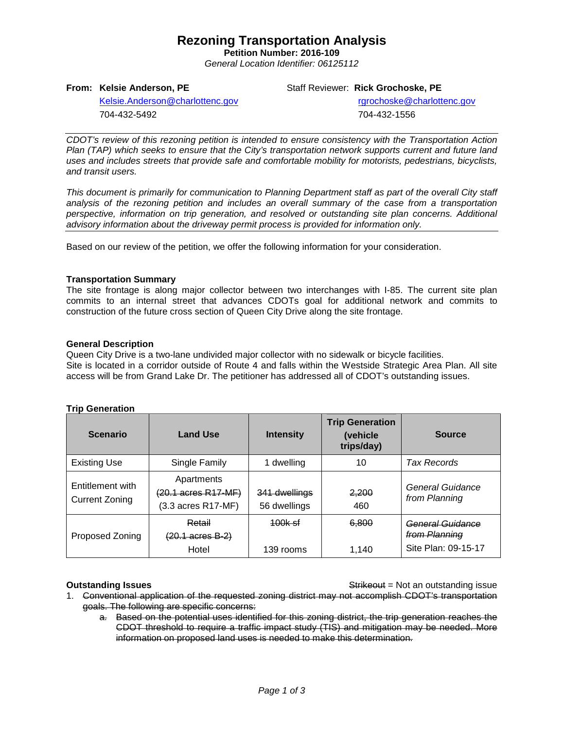## **Rezoning Transportation Analysis**

**Petition Number: 2016-109** *General Location Identifier: 06125112*

**From: Kelsie Anderson, PE**

Staff Reviewer: **Rick Grochoske, PE**

[Kelsie.Anderson@charlottenc.gov](mailto:Kelsie.Anderson@charlottenc.gov) 704-432-5492

 rgrochoske@charlottenc.gov 704-432-1556

*CDOT's review of this rezoning petition is intended to ensure consistency with the Transportation Action Plan (TAP) which seeks to ensure that the City's transportation network supports current and future land uses and includes streets that provide safe and comfortable mobility for motorists, pedestrians, bicyclists, and transit users.*

*This document is primarily for communication to Planning Department staff as part of the overall City staff analysis of the rezoning petition and includes an overall summary of the case from a transportation perspective, information on trip generation, and resolved or outstanding site plan concerns. Additional advisory information about the driveway permit process is provided for information only.*

Based on our review of the petition, we offer the following information for your consideration.

### **Transportation Summary**

The site frontage is along major collector between two interchanges with I-85. The current site plan commits to an internal street that advances CDOTs goal for additional network and commits to construction of the future cross section of Queen City Drive along the site frontage.

### **General Description**

Queen City Drive is a two-lane undivided major collector with no sidewalk or bicycle facilities. Site is located in a corridor outside of Route 4 and falls within the Westside Strategic Area Plan. All site access will be from Grand Lake Dr. The petitioner has addressed all of CDOT's outstanding issues.

| <b>Scenario</b>                           | <b>Land Use</b>                                                            | <b>Intensity</b>                | <b>Trip Generation</b><br>(vehicle<br>trips/day) | <b>Source</b>                                            |
|-------------------------------------------|----------------------------------------------------------------------------|---------------------------------|--------------------------------------------------|----------------------------------------------------------|
| <b>Existing Use</b>                       | Single Family                                                              | 1 dwelling                      | 10                                               | Tax Records                                              |
| Entitlement with<br><b>Current Zoning</b> | Apartments<br>$(20.1 \text{ acres } R17 \text{-} M)$<br>(3.3 acres R17-MF) | 341 dwellings<br>56 dwellings   | 2,200<br>460                                     | General Guidance<br>from Planning                        |
| Proposed Zoning                           | Retail<br>$(20.1 \text{ acres } B - 2)$<br>Hotel                           | <del>100k sf</del><br>139 rooms | 6.800<br>1.140                                   | General Guidance<br>from Planning<br>Site Plan: 09-15-17 |

### **Trin Generation**

**Outstanding Issues Container and Strike Example 20 and Strike Container and Strike Outstanding issue** 

- 1. Conventional application of the requested zoning district may not accomplish CDOT's transportation goals. The following are specific concerns:
	- a. Based on the potential uses identified for this zoning district, the trip generation reaches the CDOT threshold to require a traffic impact study (TIS) and mitigation may be needed. More information on proposed land uses is needed to make this determination.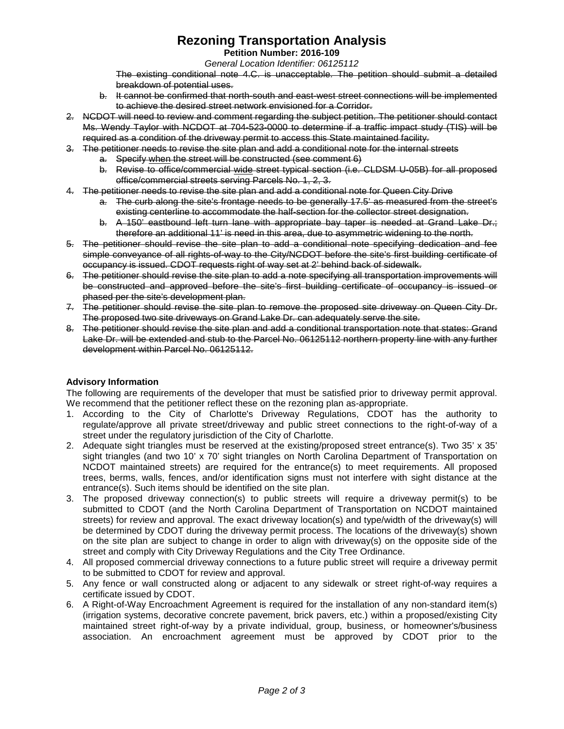# **Rezoning Transportation Analysis**

**Petition Number: 2016-109**

*General Location Identifier: 06125112*

The existing conditional note 4.C. is unacceptable. The petition should submit a detailed breakdown of potential uses.

- b. It cannot be confirmed that north-south and east-west street connections will be implemented to achieve the desired street network envisioned for a Corridor.
- 2. NCDOT will need to review and comment regarding the subject petition. The petitioner should contact Ms. Wendy Taylor with NCDOT at 704-523-0000 to determine if a traffic impact study (TIS) will be required as a condition of the driveway permit to access this State maintained facility.
- 3. The petitioner needs to revise the site plan and add a conditional note for the internal streets
	- a. Specify when the street will be constructed (see comment 6)
	- b. Revise to office/commercial wide street typical section (i.e. CLDSM U-05B) for all proposed office/commercial streets serving Parcels No. 1, 2, 3.
- 4. The petitioner needs to revise the site plan and add a conditional note for Queen City Drive
	- a. The curb along the site's frontage needs to be generally 17.5' as measured from the street's existing centerline to accommodate the half-section for the collector street designation.
	- b. A 150<sup>'</sup> eastbound left turn lane with appropriate bay taper is needed at Grand Lake Dr.; therefore an additional 11' is need in this area, due to asymmetric widening to the north.
- 5. The petitioner should revise the site plan to add a conditional note specifying dedication and fee simple conveyance of all rights-of-way to the City/NCDOT before the site's first building certificate of occupancy is issued. CDOT requests right of way set at 2' behind back of sidewalk.
- 6. The petitioner should revise the site plan to add a note specifying all transportation improvements will be constructed and approved before the site's first building certificate of occupancy is issued or phased per the site's development plan.
- 7. The petitioner should revise the site plan to remove the proposed site driveway on Queen City Dr. The proposed two site driveways on Grand Lake Dr. can adequately serve the site.
- 8. The petitioner should revise the site plan and add a conditional transportation note that states: Grand Lake Dr. will be extended and stub to the Parcel No. 06125112 northern property line with any further development within Parcel No. 06125112.

### **Advisory Information**

The following are requirements of the developer that must be satisfied prior to driveway permit approval. We recommend that the petitioner reflect these on the rezoning plan as-appropriate.

- 1. According to the City of Charlotte's Driveway Regulations, CDOT has the authority to regulate/approve all private street/driveway and public street connections to the right-of-way of a street under the regulatory jurisdiction of the City of Charlotte.
- 2. Adequate sight triangles must be reserved at the existing/proposed street entrance(s). Two 35' x 35' sight triangles (and two 10' x 70' sight triangles on North Carolina Department of Transportation on NCDOT maintained streets) are required for the entrance(s) to meet requirements. All proposed trees, berms, walls, fences, and/or identification signs must not interfere with sight distance at the entrance(s). Such items should be identified on the site plan.
- 3. The proposed driveway connection(s) to public streets will require a driveway permit(s) to be submitted to CDOT (and the North Carolina Department of Transportation on NCDOT maintained streets) for review and approval. The exact driveway location(s) and type/width of the driveway(s) will be determined by CDOT during the driveway permit process. The locations of the driveway(s) shown on the site plan are subject to change in order to align with driveway(s) on the opposite side of the street and comply with City Driveway Regulations and the City Tree Ordinance.
- 4. All proposed commercial driveway connections to a future public street will require a driveway permit to be submitted to CDOT for review and approval.
- 5. Any fence or wall constructed along or adjacent to any sidewalk or street right-of-way requires a certificate issued by CDOT.
- 6. A Right-of-Way Encroachment Agreement is required for the installation of any non-standard item(s) (irrigation systems, decorative concrete pavement, brick pavers, etc.) within a proposed/existing City maintained street right-of-way by a private individual, group, business, or homeowner's/business association. An encroachment agreement must be approved by CDOT prior to the